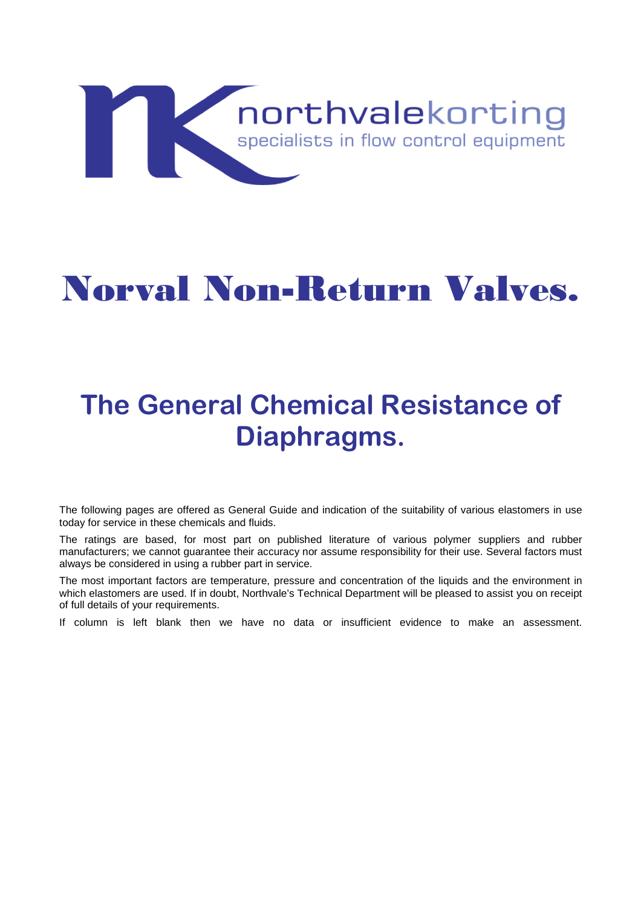

## Norval Non-Return Valves.

## **The General Chemical Resistance of Diaphragms.**

The following pages are offered as General Guide and indication of the suitability of various elastomers in use today for service in these chemicals and fluids.

The ratings are based, for most part on published literature of various polymer suppliers and rubber manufacturers; we cannot guarantee their accuracy nor assume responsibility for their use. Several factors must always be considered in using a rubber part in service.

The most important factors are temperature, pressure and concentration of the liquids and the environment in which elastomers are used. If in doubt, Northvale's Technical Department will be pleased to assist you on receipt of full details of your requirements.

If column is left blank then we have no data or insufficient evidence to make an assessment.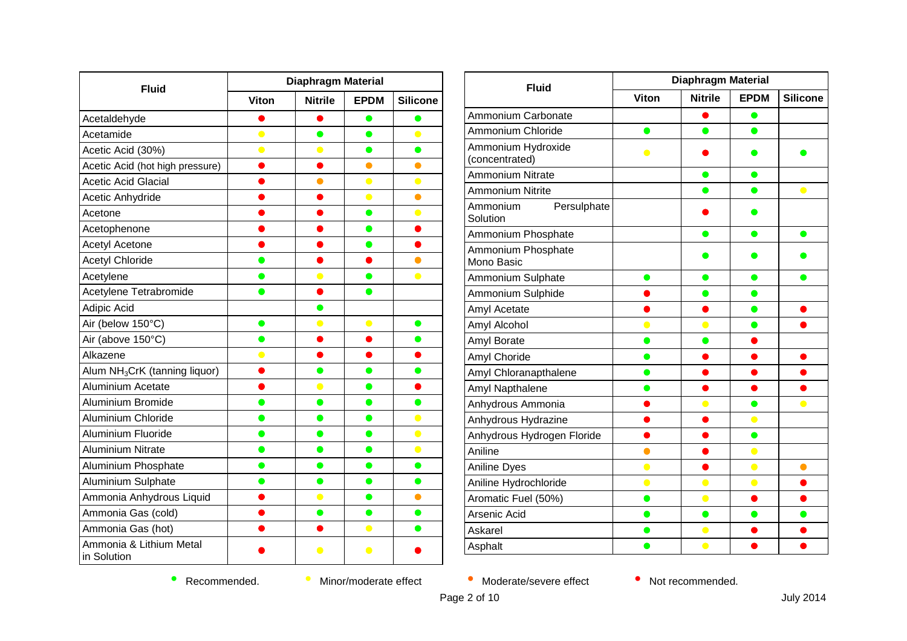| <b>Fluid</b>                              | <b>Diaphragm Material</b> |                |             |                 |
|-------------------------------------------|---------------------------|----------------|-------------|-----------------|
|                                           | Viton                     | <b>Nitrile</b> | <b>EPDM</b> | <b>Silicone</b> |
| Acetaldehyde                              |                           |                | œ           |                 |
| Acetamide                                 | $\bullet$                 | $\bullet$      | $\bullet$   | $\bullet$       |
| Acetic Acid (30%)                         | $\bullet$                 | $\bullet$      | $\bullet$   | $\bullet$       |
| Acetic Acid (hot high pressure)           |                           |                | $\bullet$   | $\bullet$       |
| <b>Acetic Acid Glacial</b>                |                           | $\bullet$      | $\bullet$   | $\bullet$       |
| Acetic Anhydride                          |                           |                | $\bullet$   | $\bullet$       |
| Acetone                                   |                           |                | $\bullet$   | $\bullet$       |
| Acetophenone                              |                           |                | $\bullet$   |                 |
| <b>Acetyl Acetone</b>                     |                           |                | $\bullet$   |                 |
| <b>Acetyl Chloride</b>                    | $\bullet$                 | D              | ●           | $\bullet$       |
| Acetylene                                 | O                         |                | O           | $\bullet$       |
| Acetylene Tetrabromide                    | O                         |                |             |                 |
| Adipic Acid                               |                           |                |             |                 |
| Air (below 150°C)                         | $\bullet$                 | $\bullet$      | $\bullet$   | $\bullet$       |
| Air (above 150°C)                         | 0                         | D              | 0           | $\bullet$       |
| Alkazene                                  | $\bullet$                 |                |             |                 |
| Alum NH <sub>3</sub> CrK (tanning liquor) |                           |                |             | $\bullet$       |
| Aluminium Acetate                         |                           | $\bullet$      | $\bullet$   | $\bullet$       |
| <b>Aluminium Bromide</b>                  | $\bullet$                 | $\bullet$      | $\bullet$   | $\bullet$       |
| Aluminium Chloride                        | $\bullet$                 | $\bullet$      | $\bullet$   | $\bullet$       |
| Aluminium Fluoride                        | ●                         | ●              | $\bullet$   | $\bullet$       |
| <b>Aluminium Nitrate</b>                  | o                         | O              | $\bullet$   | $\bullet$       |
| Aluminium Phosphate                       | $\bullet$                 | $\bullet$      | $\bullet$   | $\bullet$       |
| Aluminium Sulphate                        | $\bullet$                 | $\bullet$      | $\bullet$   | $\bullet$       |
| Ammonia Anhydrous Liquid                  |                           | $\bullet$      | $\bullet$   | $\bullet$       |
| Ammonia Gas (cold)                        |                           | ●              | $\bullet$   | $\bullet$       |
| Ammonia Gas (hot)                         |                           |                | $\bullet$   |                 |
| Ammonia & Lithium Metal<br>in Solution    |                           | $\bullet$      | $\bullet$   |                 |

| <b>Fluid</b>                         | <b>Diaphragm Material</b> |                |             |                 |
|--------------------------------------|---------------------------|----------------|-------------|-----------------|
|                                      | <b>Viton</b>              | <b>Nitrile</b> | <b>EPDM</b> | <b>Silicone</b> |
| Ammonium Carbonate                   |                           |                | O           |                 |
| Ammonium Chloride                    | $\bullet$                 | $\bullet$      | $\bullet$   |                 |
| Ammonium Hydroxide<br>(concentrated) | $\bullet$                 |                |             |                 |
| <b>Ammonium Nitrate</b>              |                           |                | ●           |                 |
| <b>Ammonium Nitrite</b>              |                           |                |             | $\bullet$       |
| Ammonium<br>Persulphate<br>Solution  |                           |                |             |                 |
| Ammonium Phosphate                   |                           |                | D           | ●               |
| Ammonium Phosphate<br>Mono Basic     |                           |                |             |                 |
| Ammonium Sulphate                    | $\bullet$                 | œ              | ●           |                 |
| Ammonium Sulphide                    |                           |                |             |                 |
| Amyl Acetate                         |                           |                | $\bullet$   |                 |
| Amyl Alcohol                         |                           |                |             |                 |
| Amyl Borate                          |                           | œ              |             |                 |
| Amyl Choride                         | ۰                         |                |             |                 |
| Amyl Chloranapthalene                |                           |                |             |                 |
| Amyl Napthalene                      | o                         |                |             |                 |
| Anhydrous Ammonia                    |                           |                | $\bullet$   |                 |
| Anhydrous Hydrazine                  |                           |                |             |                 |
| Anhydrous Hydrogen Floride           |                           |                | $\bullet$   |                 |
| Aniline                              |                           |                | $\bullet$   |                 |
| Aniline Dyes                         | $\bullet$                 |                | $\bullet$   | $\bullet$       |
| Aniline Hydrochloride                | $\bullet$                 | $\bullet$      | $\bullet$   |                 |
| Aromatic Fuel (50%)                  | O                         | $\bullet$      |             |                 |
| Arsenic Acid                         |                           | $\bullet$      |             |                 |
| Askarel                              |                           | $\bullet$      |             |                 |
| Asphalt                              |                           | $\bullet$      |             |                 |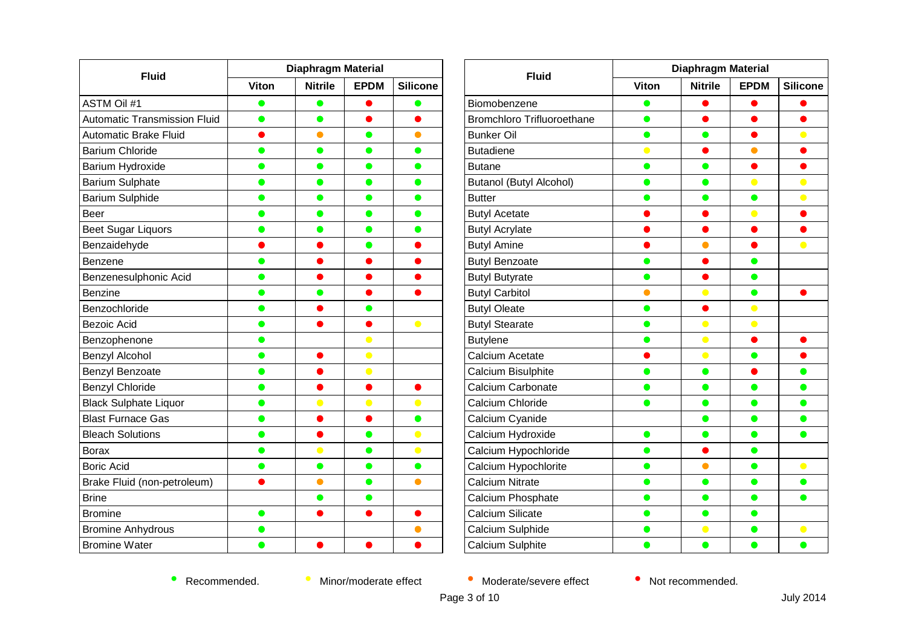| <b>Fluid</b>                        | <b>Diaphragm Material</b> |                |             |                         |
|-------------------------------------|---------------------------|----------------|-------------|-------------------------|
|                                     | Viton                     | <b>Nitrile</b> | <b>EPDM</b> | <b>Silicone</b>         |
| <b>ASTM Oil #1</b>                  | O                         | O              |             |                         |
| <b>Automatic Transmission Fluid</b> | $\bullet$                 | $\bullet$      |             |                         |
| <b>Automatic Brake Fluid</b>        |                           | $\bullet$      | ●           | $\bullet$               |
| <b>Barium Chloride</b>              | O                         | $\bullet$      | $\bullet$   | $\bullet$               |
| Barium Hydroxide                    | $\bullet$                 | $\bullet$      | $\bullet$   | $\bullet$               |
| <b>Barium Sulphate</b>              | $\bullet$                 | $\bullet$      | $\bullet$   | $\bullet$               |
| <b>Barium Sulphide</b>              | ●                         | $\bullet$      | $\bullet$   | $\bullet$               |
| Beer                                | o                         | ●              | $\bullet$   | $\qquad \qquad \bullet$ |
| <b>Beet Sugar Liquors</b>           | $\bullet$                 | ●              | $\bullet$   | $\bullet$               |
| Benzaidehyde                        |                           |                | $\bullet$   |                         |
| Benzene                             | $\bullet$                 |                |             |                         |
| Benzenesulphonic Acid               | O                         |                |             |                         |
| <b>Benzine</b>                      | O                         |                |             |                         |
| Benzochloride                       | O                         |                | $\bullet$   |                         |
| <b>Bezoic Acid</b>                  | O                         |                |             | $\bullet$               |
| Benzophenone                        | 0                         |                | $\bullet$   |                         |
| Benzyl Alcohol                      | 0                         |                | $\bullet$   |                         |
| Benzyl Benzoate                     | $\bullet$                 |                | $\bullet$   |                         |
| <b>Benzyl Chloride</b>              | O                         |                |             |                         |
| <b>Black Sulphate Liquor</b>        | $\bullet$                 | $\bullet$      | $\bullet$   | $\bullet$               |
| <b>Blast Furnace Gas</b>            | $\bullet$                 |                |             | $\bullet$               |
| <b>Bleach Solutions</b>             | $\bullet$                 |                | $\bullet$   | $\bullet$               |
| <b>Borax</b>                        | ●                         | $\bullet$      | $\bullet$   | $\bullet$               |
| <b>Boric Acid</b>                   | O                         | ●              | ●           | ●                       |
| Brake Fluid (non-petroleum)         |                           | $\bullet$      | $\bullet$   | $\bullet$               |
| <b>Brine</b>                        |                           | ●              |             |                         |
| <b>Bromine</b>                      | $\bullet$                 |                |             |                         |
| <b>Bromine Anhydrous</b>            | O                         |                |             | $\bullet$               |
| <b>Bromine Water</b>                |                           |                |             |                         |

| <b>Fluid</b>                      | <b>Diaphragm Material</b> |                |             |                 |
|-----------------------------------|---------------------------|----------------|-------------|-----------------|
|                                   | Viton                     | <b>Nitrile</b> | <b>EPDM</b> | <b>Silicone</b> |
| Biomobenzene                      |                           |                |             |                 |
| <b>Bromchloro Trifluoroethane</b> | O                         |                |             |                 |
| <b>Bunker Oil</b>                 | ●                         | $\bullet$      | ●           | $\bullet$       |
| <b>Butadiene</b>                  | $\bullet$                 |                | $\bullet$   |                 |
| <b>Butane</b>                     | o a                       | ●              |             |                 |
| <b>Butanol (Butyl Alcohol)</b>    | $\bullet$                 | $\bullet$      | $\bullet$   | $\bullet$       |
| <b>Butter</b>                     |                           | $\bullet$      | $\bullet$   | $\bullet$       |
| <b>Butyl Acetate</b>              |                           |                | $\bullet$   |                 |
| <b>Butyl Acrylate</b>             |                           |                |             |                 |
| <b>Butyl Amine</b>                |                           | $\bullet$      |             | $\bullet$       |
| <b>Butyl Benzoate</b>             | O                         |                | $\bullet$   |                 |
| <b>Butyl Butyrate</b>             | D                         |                | $\bullet$   |                 |
| <b>Butyl Carbitol</b>             | O                         | $\bullet$      | $\bullet$   |                 |
| <b>Butyl Oleate</b>               | O                         | 0              | $\bullet$   |                 |
| <b>Butyl Stearate</b>             |                           | $\bullet$      | $\bullet$   |                 |
| <b>Butylene</b>                   |                           | $\bullet$      |             |                 |
| Calcium Acetate                   |                           | $\bullet$      | $\bullet$   |                 |
| Calcium Bisulphite                |                           | $\bullet$      |             | $\bullet$       |
| Calcium Carbonate                 |                           | $\bullet$      | O           | O               |
| Calcium Chloride                  |                           | $\bullet$      | $\bullet$   | $\bullet$       |
| Calcium Cyanide                   |                           | $\bullet$      | $\bullet$   | $\bullet$       |
| Calcium Hydroxide                 | O                         | O              | $\bullet$   | $\bullet$       |
| Calcium Hypochloride              |                           |                | $\bullet$   |                 |
| Calcium Hypochlorite              |                           | $\bullet$      | $\bullet$   | $\bullet$       |
| <b>Calcium Nitrate</b>            | ●                         | $\bullet$      | $\bullet$   | $\bullet$       |
| Calcium Phosphate                 |                           | $\bullet$      | $\bullet$   | $\bullet$       |
| Calcium Silicate                  |                           | $\bullet$      | $\bullet$   |                 |
| Calcium Sulphide                  |                           | $\bullet$      | $\bullet$   | $\bullet$       |
| Calcium Sulphite                  |                           |                |             | $\bullet$       |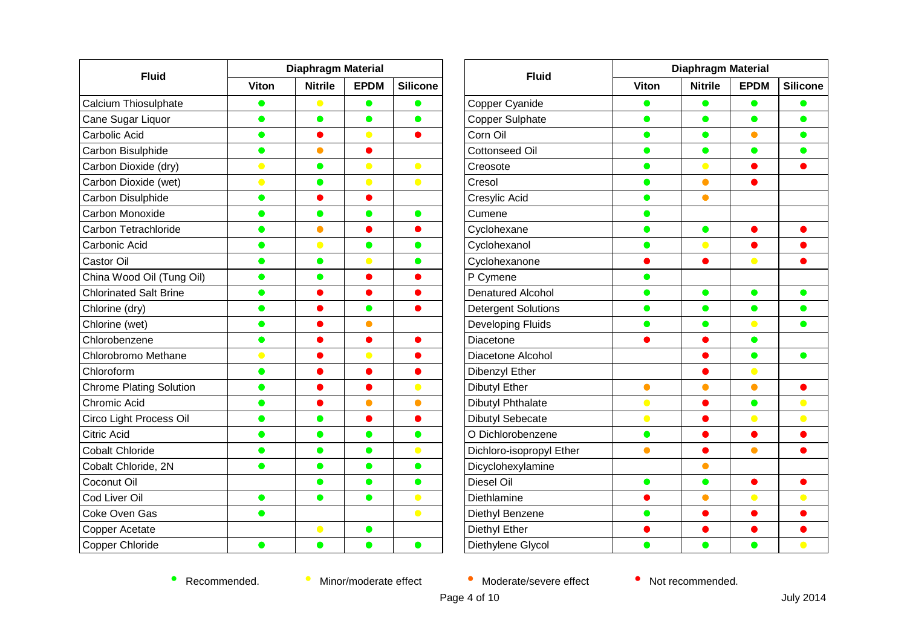| <b>Fluid</b>                   | <b>Diaphragm Material</b> |                |             |                 |
|--------------------------------|---------------------------|----------------|-------------|-----------------|
|                                | <b>Viton</b>              | <b>Nitrile</b> | <b>EPDM</b> | <b>Silicone</b> |
| Calcium Thiosulphate           | $\bullet$                 | $\bullet$      | 0           | $\bullet$       |
| Cane Sugar Liquor              | $\bullet$                 | $\bullet$      | $\bullet$   | $\bullet$       |
| Carbolic Acid                  | $\bullet$                 |                | $\bullet$   | $\bullet$       |
| Carbon Bisulphide              | D                         |                |             |                 |
| Carbon Dioxide (dry)           | $\bullet$                 | O              | $\bullet$   | $\bullet$       |
| Carbon Dioxide (wet)           | $\bullet$                 | $\bullet$      | $\bullet$   | $\bullet$       |
| Carbon Disulphide              | O                         |                |             |                 |
| Carbon Monoxide                | O                         | $\bullet$      | $\bullet$   | $\bullet$       |
| Carbon Tetrachloride           | $\bullet$                 | $\bullet$      | O           | $\bullet$       |
| Carbonic Acid                  | $\bullet$                 | $\bullet$      | $\bullet$   | $\bullet$       |
| <b>Castor Oil</b>              | $\bullet$                 | $\bullet$      | $\bullet$   | $\bullet$       |
| China Wood Oil (Tung Oil)      | ●                         |                |             | O               |
| <b>Chlorinated Salt Brine</b>  | o                         |                |             |                 |
| Chlorine (dry)                 | $\bullet$                 |                | $\bullet$   | $\bullet$       |
| Chlorine (wet)                 | $\bullet$                 |                | $\bullet$   |                 |
| Chlorobenzene                  | $\bullet$                 |                | O           |                 |
| Chlorobromo Methane            | $\bullet$                 |                | $\bullet$   |                 |
| Chloroform                     | $\bullet$                 |                |             |                 |
| <b>Chrome Plating Solution</b> | $\bullet$                 |                |             | $\bullet$       |
| Chromic Acid                   | $\bullet$                 |                | $\bullet$   | $\bullet$       |
| Circo Light Process Oil        | $\bullet$                 | $\bullet$      |             | $\bullet$       |
| <b>Citric Acid</b>             |                           |                |             | $\bullet$       |
| <b>Cobalt Chloride</b>         | o                         |                | O           | $\bullet$       |
| Cobalt Chloride, 2N            |                           | o              | O           | $\bullet$       |
| Coconut Oil                    |                           | $\bullet$      | $\bullet$   | $\bullet$       |
| Cod Liver Oil                  | $\bullet$                 | $\bullet$      | O           | $\bullet$       |
| Coke Oven Gas                  | ●                         |                |             | $\bullet$       |
| <b>Copper Acetate</b>          |                           | $\bullet$      | O           |                 |
| Copper Chloride                | O                         | ●              | O           | $\bullet$       |

| <b>Fluid</b>               | <b>Diaphragm Material</b> |                |             |                 |  |
|----------------------------|---------------------------|----------------|-------------|-----------------|--|
|                            | <b>Viton</b>              | <b>Nitrile</b> | <b>EPDM</b> | <b>Silicone</b> |  |
| Copper Cyanide             |                           | e              |             | O               |  |
| Copper Sulphate            | 0                         | $\bullet$      | $\bullet$   | $\bullet$       |  |
| Corn Oil                   | $\bullet$                 | $\bullet$      | $\bullet$   | $\bullet$       |  |
| <b>Cottonseed Oil</b>      | ●                         | $\bullet$      | $\bullet$   | $\bullet$       |  |
| Creosote                   | O                         | $\bullet$      |             |                 |  |
| Cresol                     | $\bullet$                 | $\bullet$      |             |                 |  |
| Cresylic Acid              |                           | $\bullet$      |             |                 |  |
| Cumene                     | O                         |                |             |                 |  |
| Cyclohexane                | D                         | $\bullet$      |             |                 |  |
| Cyclohexanol               | O                         | $\bullet$      |             |                 |  |
| Cyclohexanone              | D                         | $\bullet$      | $\bullet$   | 0               |  |
| P Cymene                   | ●                         |                |             |                 |  |
| <b>Denatured Alcohol</b>   | o                         | $\bullet$      | $\bullet$   | $\bullet$       |  |
| <b>Detergent Solutions</b> | ●                         | $\bullet$      | $\bullet$   | $\bullet$       |  |
| Developing Fluids          | ●                         | $\bullet$      | $\bullet$   | $\bullet$       |  |
| Diacetone                  |                           |                | $\bullet$   |                 |  |
| Diacetone Alcohol          |                           |                | $\bullet$   | $\bullet$       |  |
| Dibenzyl Ether             |                           |                | $\bullet$   |                 |  |
| <b>Dibutyl Ether</b>       | $\bullet$                 |                | $\bullet$   |                 |  |
| Dibutyl Phthalate          | $\bullet$                 |                | $\bullet$   | $\bullet$       |  |
| <b>Dibutyl Sebecate</b>    | $\bullet$                 |                | $\bullet$   | $\bullet$       |  |
| O Dichlorobenzene          | $\bullet$                 | 0              | $\bullet$   | $\bullet$       |  |
| Dichloro-isopropyl Ether   | Ο                         |                |             |                 |  |
| Dicyclohexylamine          |                           | 0              |             |                 |  |
| Diesel Oil                 | $\bullet$                 | $\bullet$      |             |                 |  |
| Diethlamine                |                           |                | $\bullet$   | $\bullet$       |  |
| Diethyl Benzene            |                           |                |             |                 |  |
| Diethyl Ether              |                           |                |             |                 |  |
| Diethylene Glycol          |                           |                |             | $\bullet$       |  |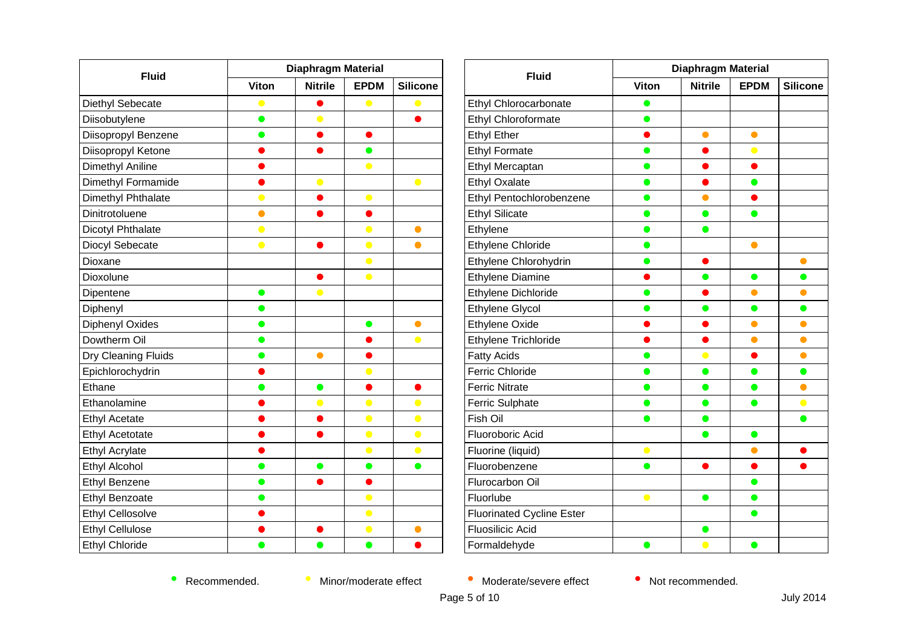| <b>Fluid</b>            | Diaphragm Material |                |             |                 |
|-------------------------|--------------------|----------------|-------------|-----------------|
|                         | <b>Viton</b>       | <b>Nitrile</b> | <b>EPDM</b> | <b>Silicone</b> |
| Diethyl Sebecate        | $\bullet$          |                | $\bullet$   | $\bullet$       |
| Diisobutylene           | 0                  | $\bullet$      |             |                 |
| Diisopropyl Benzene     | $\bullet$          |                |             |                 |
| Diisopropyl Ketone      |                    |                | $\bullet$   |                 |
| Dimethyl Aniline        |                    |                | $\bullet$   |                 |
| Dimethyl Formamide      |                    | $\bullet$      |             | $\bullet$       |
| Dimethyl Phthalate      | $\bullet$          |                | $\bullet$   |                 |
| Dinitrotoluene          |                    |                |             |                 |
| Dicotyl Phthalate       | $\bullet$          |                | $\bullet$   | $\bullet$       |
| Diocyl Sebecate         | $\bullet$          |                | $\bullet$   | $\bullet$       |
| Dioxane                 |                    |                | $\bullet$   |                 |
| Dioxolune               |                    |                | $\bullet$   |                 |
| Dipentene               |                    | $\bullet$      |             |                 |
| Diphenyl                | O                  |                |             |                 |
| Diphenyl Oxides         | $\bullet$          |                | $\bullet$   | $\bullet$       |
| Dowtherm Oil            | $\bullet$          |                |             | $\bullet$       |
| Dry Cleaning Fluids     | $\bullet$          | $\bullet$      |             |                 |
| Epichlorochydrin        |                    |                | $\bullet$   |                 |
| Ethane                  | $\bullet$          | $\bullet$      | $\bullet$   |                 |
| Ethanolamine            |                    | $\bullet$      | $\bullet$   | $\bullet$       |
| <b>Ethyl Acetate</b>    |                    |                | $\bullet$   | $\bullet$       |
| <b>Ethyl Acetotate</b>  |                    |                | $\bullet$   | $\bullet$       |
| <b>Ethyl Acrylate</b>   |                    |                | $\bullet$   | $\bullet$       |
| Ethyl Alcohol           | 0                  | O              | $\bullet$   | $\bullet$       |
| <b>Ethyl Benzene</b>    | $\bullet$          |                |             |                 |
| <b>Ethyl Benzoate</b>   | $\bullet$          |                | $\bullet$   |                 |
| <b>Ethyl Cellosolve</b> |                    |                | $\bullet$   |                 |
| <b>Ethyl Cellulose</b>  |                    |                | $\bullet$   | 0               |
| <b>Ethyl Chloride</b>   |                    |                | $\bullet$   |                 |

| <b>Fluid</b>                     | <b>Diaphragm Material</b> |                |             |                 |  |
|----------------------------------|---------------------------|----------------|-------------|-----------------|--|
|                                  | Viton                     | <b>Nitrile</b> | <b>EPDM</b> | <b>Silicone</b> |  |
| Ethyl Chlorocarbonate            |                           |                |             |                 |  |
| Ethyl Chloroformate              | $\bullet$                 |                |             |                 |  |
| <b>Ethyl Ether</b>               | D                         | $\bullet$      | $\bullet$   |                 |  |
| <b>Ethyl Formate</b>             | ●                         |                | $\bullet$   |                 |  |
| Ethyl Mercaptan                  | $\bullet$                 |                | ●           |                 |  |
| <b>Ethyl Oxalate</b>             | $\bullet$                 | $\bullet$      | $\bullet$   |                 |  |
| Ethyl Pentochlorobenzene         |                           |                |             |                 |  |
| <b>Ethyl Silicate</b>            |                           |                |             |                 |  |
| Ethylene                         | $\bullet$                 | $\bullet$      |             |                 |  |
| Ethylene Chloride                | $\bullet$                 |                | $\bullet$   |                 |  |
| Ethylene Chlorohydrin            |                           |                |             | $\bullet$       |  |
| <b>Ethylene Diamine</b>          |                           | ●              | $\bullet$   | $\bullet$       |  |
| Ethylene Dichloride              |                           |                | $\bullet$   | $\bullet$       |  |
| <b>Ethylene Glycol</b>           |                           |                | ●           | $\bullet$       |  |
| <b>Ethylene Oxide</b>            |                           |                | $\bullet$   | $\bullet$       |  |
| Ethylene Trichloride             |                           |                | $\bullet$   | $\bullet$       |  |
| <b>Fatty Acids</b>               | œ                         | $\bullet$      |             | $\bullet$       |  |
| <b>Ferric Chloride</b>           |                           | 0              | ●           | $\bullet$       |  |
| <b>Ferric Nitrate</b>            |                           |                | - 1         | $\bullet$       |  |
| Ferric Sulphate                  | D                         | $\bullet$      | $\bullet$   | $\bullet$       |  |
| Fish Oil                         |                           | $\bullet$      |             | $\bullet$       |  |
| Fluoroboric Acid                 |                           | $\bullet$      | $\bullet$   |                 |  |
| Fluorine (liquid)                | $\bullet$                 |                | $\bullet$   |                 |  |
| Fluorobenzene                    |                           |                |             |                 |  |
| Flurocarbon Oil                  |                           |                | o           |                 |  |
| Fluorlube                        | $\bullet$                 | $\bullet$      | $\bullet$   |                 |  |
| <b>Fluorinated Cycline Ester</b> |                           |                | $\bullet$   |                 |  |
| <b>Fluosilicic Acid</b>          |                           |                |             |                 |  |
| Formaldehyde                     | $\bullet$                 | $\bullet$      | ●           |                 |  |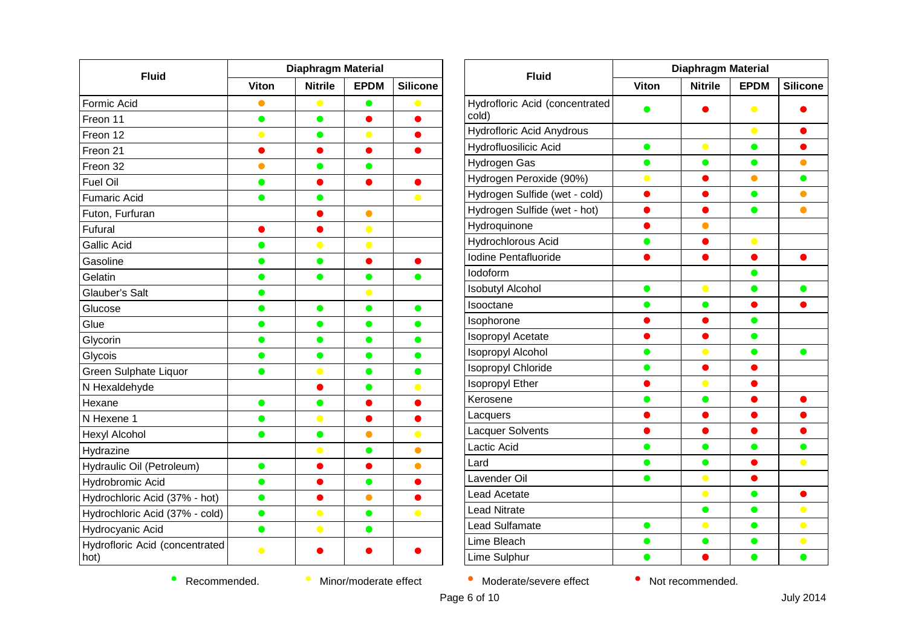| <b>Fluid</b>                           | Diaphragm Material |                |             |                 |
|----------------------------------------|--------------------|----------------|-------------|-----------------|
|                                        | <b>Viton</b>       | <b>Nitrile</b> | <b>EPDM</b> | <b>Silicone</b> |
| Formic Acid                            | O                  | $\bullet$      | O           |                 |
| Freon 11                               | $\bullet$          | $\bullet$      |             |                 |
| Freon 12                               | $\bullet$          |                | $\bullet$   |                 |
| Freon 21                               | C.                 |                | O           |                 |
| Freon 32                               |                    |                |             |                 |
| <b>Fuel Oil</b>                        | ●                  |                |             |                 |
| <b>Fumaric Acid</b>                    | $\bullet$          | O              |             | $\bullet$       |
| Futon, Furfuran                        |                    |                | $\bullet$   |                 |
| <b>Fufural</b>                         |                    |                | $\bullet$   |                 |
| <b>Gallic Acid</b>                     | O                  | $\bullet$      | $\bullet$   |                 |
| Gasoline                               |                    | ●              |             |                 |
| Gelatin                                | O                  |                | ●           |                 |
| Glauber's Salt                         | O                  |                | $\bullet$   |                 |
| Glucose                                |                    | ●              |             | ●               |
| Glue                                   | œ                  | Ð              | œ           | o               |
| Glycorin                               | O                  | O              | 0           | 0               |
| Glycois                                |                    |                | ●           |                 |
| Green Sulphate Liquor                  |                    | $\bullet$      | O           | D               |
| N Hexaldehyde                          |                    |                | $\bullet$   | $\bullet$       |
| Hexane                                 | $\bullet$          | ●              |             |                 |
| N Hexene 1                             | œ                  | $\bullet$      |             |                 |
| Hexyl Alcohol                          | $\bullet$          | $\bullet$      | $\bullet$   | $\bullet$       |
| Hydrazine                              |                    |                | ●           | $\bullet$       |
| Hydraulic Oil (Petroleum)              | $\bullet$          |                |             | $\bullet$       |
| Hydrobromic Acid                       | $\bullet$          |                | $\bullet$   | 0               |
| Hydrochloric Acid (37% - hot)          | $\bullet$          |                | O           |                 |
| Hydrochloric Acid (37% - cold)         | $\bullet$          | $\bullet$      | ●           | $\bullet$       |
| Hydrocyanic Acid                       | ●                  | $\bullet$      | $\bullet$   |                 |
| Hydrofloric Acid (concentrated<br>hot) |                    |                |             |                 |

| <b>Fluid</b>                            | Diaphragm Material |                |             |                 |
|-----------------------------------------|--------------------|----------------|-------------|-----------------|
|                                         | <b>Viton</b>       | <b>Nitrile</b> | <b>EPDM</b> | <b>Silicone</b> |
| Hydrofloric Acid (concentrated<br>cold) |                    |                | $\bullet$   |                 |
| Hydrofloric Acid Anydrous               |                    |                | $\bullet$   |                 |
| Hydrofluosilicic Acid                   | ●                  | $\bullet$      | $\bullet$   |                 |
| Hydrogen Gas                            |                    |                |             |                 |
| Hydrogen Peroxide (90%)                 |                    |                | $\bullet$   | $\bullet$       |
| Hydrogen Sulfide (wet - cold)           |                    |                | e           | $\bullet$       |
| Hydrogen Sulfide (wet - hot)            |                    |                |             | $\bullet$       |
| Hydroquinone                            |                    |                |             |                 |
| Hydrochlorous Acid                      | O                  | ۰              | $\bullet$   |                 |
| Iodine Pentafluoride                    |                    |                |             |                 |
| lodoform                                |                    |                |             |                 |
| <b>Isobutyl Alcohol</b>                 | $\bullet$          | $\bullet$      | $\bullet$   | $\bullet$       |
| Isooctane                               |                    | ●              |             |                 |
| Isophorone                              |                    |                | D           |                 |
| Isopropyl Acetate                       |                    |                | $\bullet$   |                 |
| <b>Isopropyl Alcohol</b>                |                    |                |             |                 |
| Isopropyl Chloride                      |                    |                |             |                 |
| Isopropyl Ether                         |                    |                |             |                 |
| Kerosene                                |                    |                |             |                 |
| Lacquers                                |                    |                |             |                 |
| Lacquer Solvents                        |                    |                |             |                 |
| Lactic Acid                             |                    | $\bullet$      | O           | $\bullet$       |
| Lard                                    |                    |                |             | $\bullet$       |
| Lavender Oil                            |                    | $\bullet$      |             |                 |
| Lead Acetate                            |                    | $\bullet$      | O           | ۰               |
| <b>Lead Nitrate</b>                     |                    | O              |             | $\bullet$       |
| Lead Sulfamate                          | $\bullet$          | $\bullet$      | $\bullet$   | $\bullet$       |
| Lime Bleach                             | O                  | $\bullet$      | $\bullet$   | $\bullet$       |
| <b>Lime Sulphur</b>                     |                    |                | ●           | $\bullet$       |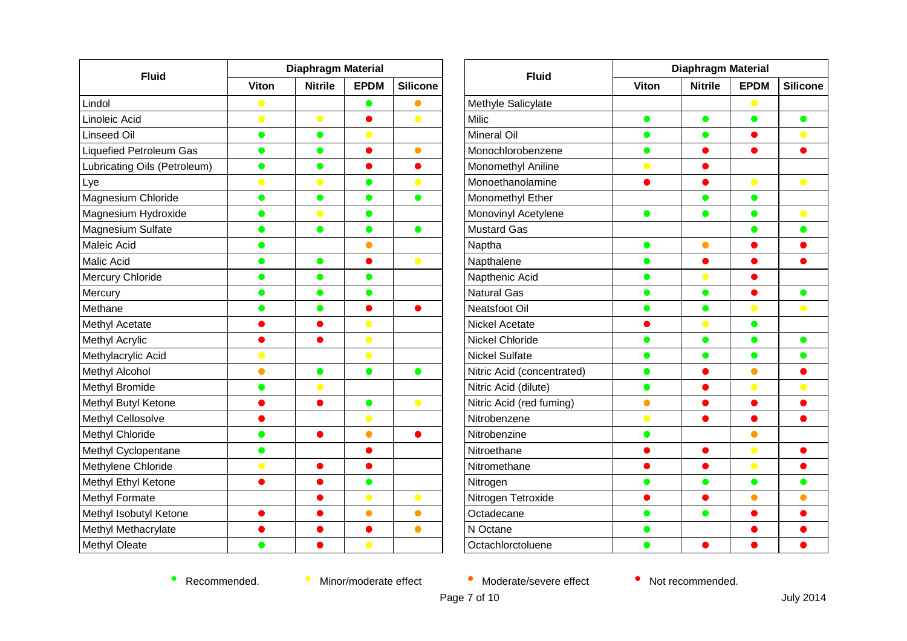| <b>Fluid</b>                   | <b>Diaphragm Material</b> |                |             |                 |  |
|--------------------------------|---------------------------|----------------|-------------|-----------------|--|
|                                | <b>Viton</b>              | <b>Nitrile</b> | <b>EPDM</b> | <b>Silicone</b> |  |
| Lindol                         | $\bullet$                 |                | $\bullet$   |                 |  |
| Linoleic Acid                  | $\bullet$                 | $\bullet$      |             | $\bullet$       |  |
| Linseed Oil                    | $\bullet$                 | $\bullet$      |             |                 |  |
| <b>Liquefied Petroleum Gas</b> | $\bullet$                 | $\bullet$      | ۸           | $\bullet$       |  |
| Lubricating Oils (Petroleum)   | $\bullet$                 | $\bullet$      |             |                 |  |
| Lye                            | $\bullet$                 | $\bullet$      | $\bullet$   | $\bullet$       |  |
| Magnesium Chloride             | $\bullet$                 | $\bullet$      | O           | D               |  |
| Magnesium Hydroxide            | $\bullet$                 | $\bullet$      |             |                 |  |
| Magnesium Sulfate              | $\bullet$                 | $\bullet$      | $\bullet$   | $\bullet$       |  |
| Maleic Acid                    | O                         |                |             |                 |  |
| Malic Acid                     | $\bullet$                 | $\bullet$      |             | $\bullet$       |  |
| <b>Mercury Chloride</b>        | O                         | ●              | O           |                 |  |
| Mercury                        | O                         |                |             |                 |  |
| Methane                        | O                         | 0              |             |                 |  |
| Methyl Acetate                 |                           |                | $\bullet$   |                 |  |
| <b>Methyl Acrylic</b>          |                           |                | $\bullet$   |                 |  |
| Methylacrylic Acid             | $\bullet$                 |                | $\bullet$   |                 |  |
| Methyl Alcohol                 |                           | $\bullet$      | $\bullet$   | ●               |  |
| Methyl Bromide                 | O                         | O              |             |                 |  |
| Methyl Butyl Ketone            |                           | ●              | $\bullet$   | $\bullet$       |  |
| Methyl Cellosolve              |                           |                | $\bullet$   |                 |  |
| Methyl Chloride                | $\bullet$                 |                | $\bullet$   |                 |  |
| Methyl Cyclopentane            | $\bullet$                 |                |             |                 |  |
| Methylene Chloride             | $\bullet$                 |                |             |                 |  |
| Methyl Ethyl Ketone            |                           |                | $\bullet$   |                 |  |
| Methyl Formate                 |                           |                | $\bullet$   | $\bullet$       |  |
| Methyl Isobutyl Ketone         |                           |                | $\bullet$   | $\bullet$       |  |
| Methyl Methacrylate            |                           |                |             | $\bullet$       |  |
| Methyl Oleate                  |                           |                | $\bullet$   |                 |  |

| <b>Fluid</b>               | <b>Diaphragm Material</b> |                |             |                 |  |
|----------------------------|---------------------------|----------------|-------------|-----------------|--|
|                            | <b>Viton</b>              | <b>Nitrile</b> | <b>EPDM</b> | <b>Silicone</b> |  |
| Methyle Salicylate         |                           |                |             |                 |  |
| Milic                      | 0                         | 0              |             | $\bullet$       |  |
| <b>Mineral Oil</b>         | $\bullet$                 | $\bullet$      | O           | $\bullet$       |  |
| Monochlorobenzene          |                           |                |             |                 |  |
| Monomethyl Aniline         | $\bullet$                 |                |             |                 |  |
| Monoethanolamine           |                           |                | $\bullet$   | $\bullet$       |  |
| Monomethyl Ether           |                           |                | O           |                 |  |
| Monovinyl Acetylene        | ●                         | ●              | ●           | $\bullet$       |  |
| <b>Mustard Gas</b>         |                           |                | D           | $\bullet$       |  |
| Naptha                     | $\bullet$                 | $\bullet$      |             |                 |  |
| Napthalene                 | $\bullet$                 | ●              |             | ●               |  |
| Napthenic Acid             |                           | $\bullet$      |             |                 |  |
| <b>Natural Gas</b>         |                           | e i            |             | ●               |  |
| Neatsfoot Oil              | D                         | $\bullet$      | $\bullet$   | $\bullet$       |  |
| Nickel Acetate             |                           | $\bullet$      |             |                 |  |
| <b>Nickel Chloride</b>     |                           | O              |             | 0               |  |
| <b>Nickel Sulfate</b>      | 0                         | $\bullet$      | O           | $\bullet$       |  |
| Nitric Acid (concentrated) |                           |                |             |                 |  |
| Nitric Acid (dilute)       |                           |                |             | $\bullet$       |  |
| Nitric Acid (red fuming)   | A                         |                |             |                 |  |
| Nitrobenzene               | $\bullet$                 |                |             |                 |  |
| Nitrobenzine               |                           |                |             |                 |  |
| Nitroethane                |                           |                | $\bullet$   | o               |  |
| Nitromethane               |                           |                | $\bullet$   |                 |  |
| Nitrogen                   |                           |                | O           | $\bullet$       |  |
| Nitrogen Tetroxide         |                           |                | $\bullet$   | $\bullet$       |  |
| Octadecane                 |                           |                |             |                 |  |
| N Octane                   | o                         |                |             |                 |  |
| Octachlorctoluene          |                           |                |             |                 |  |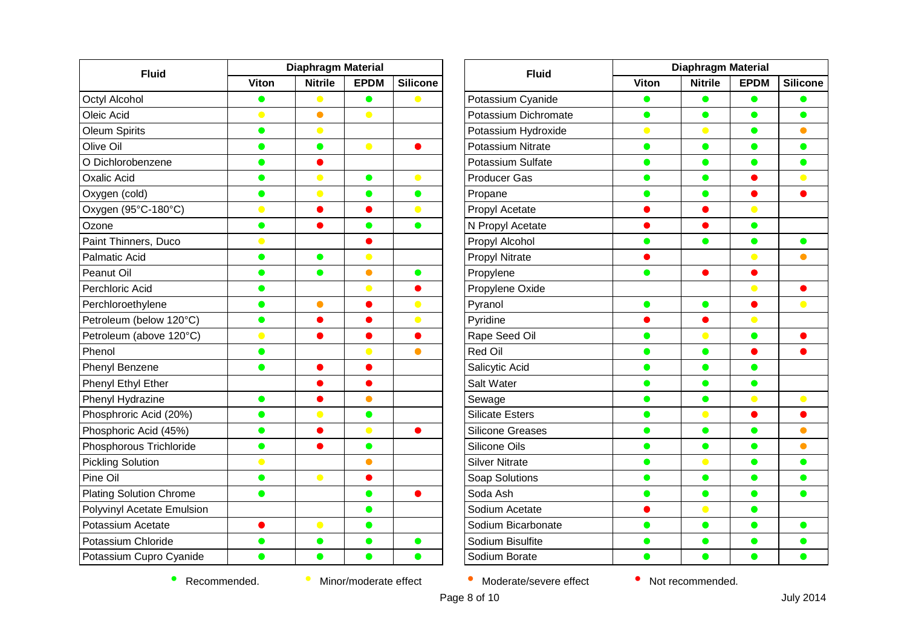| <b>Fluid</b>                   | <b>Diaphragm Material</b> |                |             |                 |
|--------------------------------|---------------------------|----------------|-------------|-----------------|
|                                | <b>Viton</b>              | <b>Nitrile</b> | <b>EPDM</b> | <b>Silicone</b> |
| Octyl Alcohol                  | $\bullet$                 | $\bullet$      | $\bullet$   | $\bullet$       |
| Oleic Acid                     | $\bullet$                 | $\bullet$      | $\bullet$   |                 |
| Oleum Spirits                  | $\bullet$                 | $\bullet$      |             |                 |
| Olive Oil                      | $\bullet$                 | $\bullet$      | $\bullet$   |                 |
| O Dichlorobenzene              | $\bullet$                 |                |             |                 |
| <b>Oxalic Acid</b>             | $\bullet$                 | $\bullet$      | $\bullet$   | $\bullet$       |
| Oxygen (cold)                  | $\bullet$                 | $\bullet$      | $\bullet$   | $\bullet$       |
| Oxygen (95°C-180°C)            | $\bullet$                 |                |             | $\bullet$       |
| Ozone                          | $\bullet$                 | o              | $\bullet$   | $\bullet$       |
| Paint Thinners, Duco           | $\bullet$                 |                |             |                 |
| <b>Palmatic Acid</b>           | $\bullet$                 | $\bullet$      | $\bullet$   |                 |
| Peanut Oil                     | $\bullet$                 | $\bullet$      | $\bullet$   | $\bullet$       |
| Perchloric Acid                | $\bullet$                 |                | $\bullet$   |                 |
| Perchloroethylene              | $\bullet$                 | $\bullet$      |             | $\bullet$       |
| Petroleum (below 120°C)        | $\bullet$                 | 0              | 0           | $\bullet$       |
| Petroleum (above 120°C)        | $\bullet$                 |                |             |                 |
| Phenol                         | $\bullet$                 |                | $\bullet$   | $\bullet$       |
| Phenyl Benzene                 | $\bullet$                 | O              | $\bullet$   |                 |
| Phenyl Ethyl Ether             |                           |                |             |                 |
| Phenyl Hydrazine               | $\bullet$                 |                | $\bullet$   |                 |
| Phosphroric Acid (20%)         | $\bullet$                 | $\bullet$      | $\bullet$   |                 |
| Phosphoric Acid (45%)          | $\bullet$                 |                | $\bullet$   |                 |
| Phosphorous Trichloride        | $\bullet$                 |                | $\bullet$   |                 |
| <b>Pickling Solution</b>       | $\bullet$                 |                | $\bullet$   |                 |
| Pine Oil                       | $\bullet$                 | $\bullet$      | $\bullet$   |                 |
| <b>Plating Solution Chrome</b> | $\bullet$                 |                | $\bullet$   |                 |
| Polyvinyl Acetate Emulsion     |                           |                | $\bullet$   |                 |
| Potassium Acetate              |                           | $\bullet$      | $\bullet$   |                 |
| Potassium Chloride             | O                         |                |             | $\bullet$       |
| Potassium Cupro Cyanide        | $\bullet$                 | $\bullet$      | $\bullet$   | $\bullet$       |

| <b>Fluid</b>             | Diaphragm Material |                |             |                 |
|--------------------------|--------------------|----------------|-------------|-----------------|
|                          | Viton              | <b>Nitrile</b> | <b>EPDM</b> | <b>Silicone</b> |
| Potassium Cyanide        | $\bullet$          | $\bullet$      | $\bullet$   | $\bullet$       |
| Potassium Dichromate     | O                  | $\bullet$      | $\bullet$   | $\bullet$       |
| Potassium Hydroxide      | $\bullet$          | $\bullet$      | $\bullet$   | $\bullet$       |
| <b>Potassium Nitrate</b> | ●                  | ●              | $\bullet$   | $\bullet$       |
| Potassium Sulfate        |                    | O              |             | O               |
| <b>Producer Gas</b>      | o                  | ●              |             | $\bullet$       |
| Propane                  |                    | ●              |             | o               |
| Propyl Acetate           |                    |                | $\bullet$   |                 |
| N Propyl Acetate         |                    |                | $\bullet$   |                 |
| Propyl Alcohol           | ●                  | ●              | $\bullet$   | $\bullet$       |
| <b>Propyl Nitrate</b>    |                    |                | 0           | $\bullet$       |
| Propylene                |                    |                |             |                 |
| Propylene Oxide          |                    |                | $\bullet$   |                 |
| Pyranol                  |                    | O              |             | $\bullet$       |
| Pyridine                 |                    |                | $\bullet$   |                 |
| Rape Seed Oil            | O                  | $\bullet$      | $\bullet$   | ●               |
| Red Oil                  |                    | O              |             |                 |
| Salicytic Acid           |                    | D              | œ           |                 |
| Salt Water               | O                  | $\bullet$      | $\bullet$   |                 |
| Sewage                   |                    | D              | $\bullet$   | $\bullet$       |
| <b>Silicate Esters</b>   |                    | $\bullet$      |             |                 |
| <b>Silicone Greases</b>  |                    | $\bullet$      | ●           | $\bullet$       |
| Silicone Oils            | O                  | $\bullet$      | $\bullet$   | $\bullet$       |
| <b>Silver Nitrate</b>    |                    | $\bullet$      | D           | o               |
| Soap Solutions           |                    |                | O           | o               |
| Soda Ash                 | O                  | $\bullet$      | $\bullet$   | $\bullet$       |
| Sodium Acetate           |                    | $\bullet$      | $\bullet$   |                 |
| Sodium Bicarbonate       |                    | $\bullet$      | O           | $\bullet$       |
| Sodium Bisulfite         |                    | O              | O           | 0               |
| Sodium Borate            |                    |                |             |                 |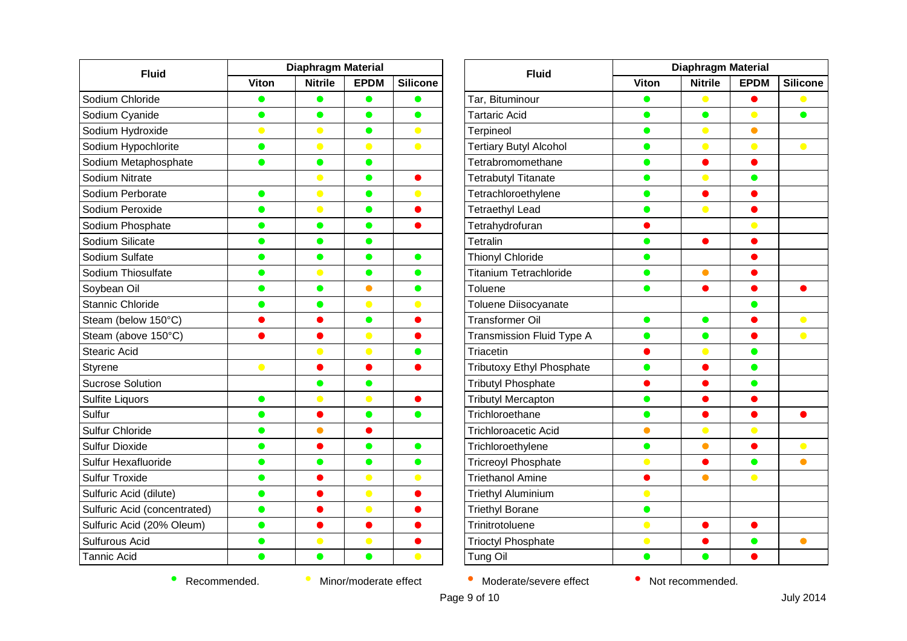| <b>Fluid</b>                 | <b>Diaphragm Material</b> |                |             |                 |
|------------------------------|---------------------------|----------------|-------------|-----------------|
|                              | <b>Viton</b>              | <b>Nitrile</b> | <b>EPDM</b> | <b>Silicone</b> |
| Sodium Chloride              | $\bullet$                 | $\bullet$      | $\bullet$   | $\bullet$       |
| Sodium Cyanide               | $\bullet$                 | $\bullet$      | $\bullet$   | $\bullet$       |
| Sodium Hydroxide             | $\bullet$                 | $\bullet$      | $\bullet$   | $\bullet$       |
| Sodium Hypochlorite          | $\bullet$                 | $\bullet$      | $\bullet$   | $\bullet$       |
| Sodium Metaphosphate         |                           | $\bullet$      | $\bullet$   |                 |
| Sodium Nitrate               |                           | $\bullet$      | $\bullet$   | $\bullet$       |
| Sodium Perborate             | $\bullet$                 | $\bullet$      | $\bullet$   | $\bullet$       |
| Sodium Peroxide              | $\bullet$                 | $\bullet$      | $\bullet$   | $\bullet$       |
| Sodium Phosphate             | $\bullet$                 | $\bullet$      | $\bullet$   | $\bullet$       |
| Sodium Silicate              | $\bullet$                 | $\bullet$      | $\bullet$   |                 |
| Sodium Sulfate               | o                         | $\bullet$      | $\bullet$   | $\bullet$       |
| Sodium Thiosulfate           | $\bullet$                 | $\bullet$      | $\bullet$   | $\bullet$       |
| Soybean Oil                  | D                         | $\bullet$      | $\bullet$   | $\bullet$       |
| <b>Stannic Chloride</b>      |                           | $\bullet$      | $\bullet$   | $\bullet$       |
| Steam (below 150°C)          | D                         | 0              | $\bullet$   | $\bullet$       |
| Steam (above 150°C)          |                           |                | $\bullet$   |                 |
| <b>Stearic Acid</b>          |                           | $\bullet$      | $\bullet$   | $\bullet$       |
| Styrene                      | $\bullet$                 | $\bullet$      | $\bullet$   | $\bullet$       |
| <b>Sucrose Solution</b>      |                           | $\bullet$      | $\bullet$   |                 |
| Sulfite Liquors              | $\bullet$                 | $\bullet$      | $\bullet$   |                 |
| Sulfur                       | $\bullet$                 | $\bullet$      | $\bullet$   | $\bullet$       |
| Sulfur Chloride              | $\bullet$                 | $\bullet$      |             |                 |
| <b>Sulfur Dioxide</b>        | $\bullet$                 |                | $\bullet$   | $\bullet$       |
| Sulfur Hexafluoride          | $\bullet$                 | $\bullet$      | $\bullet$   | $\bullet$       |
| <b>Sulfur Troxide</b>        | $\bullet$                 | n              | $\bullet$   | $\bullet$       |
| Sulfuric Acid (dilute)       | $\bullet$                 |                | $\bullet$   | $\bullet$       |
| Sulfuric Acid (concentrated) | $\bullet$                 |                | $\bullet$   | 0               |
| Sulfuric Acid (20% Oleum)    | $\bullet$                 |                | $\bullet$   | D               |
| Sulfurous Acid               |                           | $\bullet$      | $\bullet$   |                 |
| <b>Tannic Acid</b>           | $\bullet$                 | $\bullet$      | $\bullet$   | $\bullet$       |

| <b>Fluid</b>                  | <b>Diaphragm Material</b> |                |             |                 |
|-------------------------------|---------------------------|----------------|-------------|-----------------|
|                               | <b>Viton</b>              | <b>Nitrile</b> | <b>EPDM</b> | <b>Silicone</b> |
| Tar, Bituminour               | $\bullet$                 | $\bullet$      |             | $\bullet$       |
| <b>Tartaric Acid</b>          | 0                         | $\bullet$      | $\bullet$   | $\bullet$       |
| Terpineol                     | $\bullet$                 | $\bullet$      | $\bullet$   |                 |
| <b>Tertiary Butyl Alcohol</b> | D                         | $\bullet$      | $\bullet$   | $\bullet$       |
| Tetrabromomethane             |                           |                |             |                 |
| <b>Tetrabutyl Titanate</b>    | $\bullet$                 | $\bullet$      | $\bullet$   |                 |
| Tetrachloroethylene           | $\bullet$                 | D              | Ο           |                 |
| <b>Tetraethyl Lead</b>        |                           | $\bullet$      |             |                 |
| Tetrahydrofuran               |                           |                |             |                 |
| Tetralin                      | $\bullet$                 | $\bullet$      | 0           |                 |
| <b>Thionyl Chloride</b>       | ●                         |                |             |                 |
| <b>Titanium Tetrachloride</b> | $\qquad \qquad$           | $\bullet$      |             |                 |
| Toluene                       | $\bullet$                 |                |             |                 |
| Toluene Diisocyanate          |                           |                |             |                 |
| <b>Transformer Oil</b>        | $\bullet$                 | $\bullet$      |             | $\bullet$       |
| Transmission Fluid Type A     | $\bullet$                 | $\bullet$      | ●           | $\bullet$       |
| Triacetin                     |                           | $\bullet$      | ●           |                 |
| Tributoxy Ethyl Phosphate     |                           |                |             |                 |
| <b>Tributyl Phosphate</b>     |                           |                | O           |                 |
| <b>Tributyl Mercapton</b>     | ●                         |                | $\bullet$   |                 |
| Trichloroethane               |                           |                |             |                 |
| <b>Trichloroacetic Acid</b>   | 0                         | $\bullet$      | $\bullet$   |                 |
| Trichloroethylene             | $\bullet$                 | $\bullet$      | $\bullet$   | $\bullet$       |
| <b>Tricreoyl Phosphate</b>    | $\bullet$                 |                |             |                 |
| <b>Triethanol Amine</b>       |                           |                | $\bullet$   |                 |
| <b>Triethyl Aluminium</b>     | $\bullet$                 |                |             |                 |
| <b>Triethyl Borane</b>        | $\bullet$                 |                |             |                 |
| Trinitrotoluene               | $\bullet$                 |                |             |                 |
| <b>Trioctyl Phosphate</b>     | $\bullet$                 |                | $\bullet$   | $\bullet$       |
| Tung Oil                      | $\bullet$                 |                |             |                 |